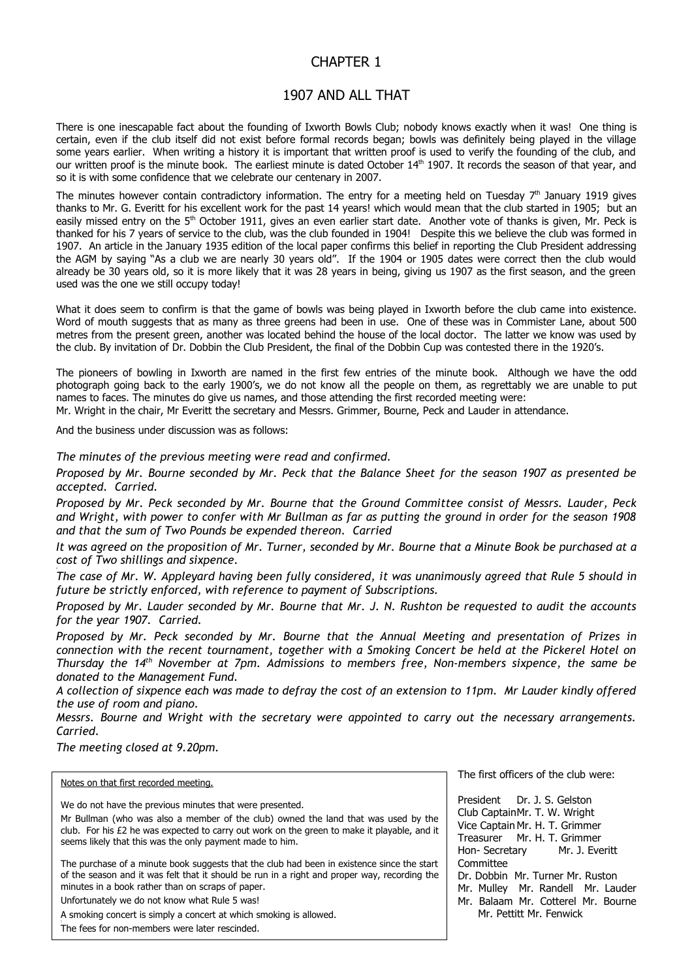## CHAPTER 1

## 1907 AND ALL THAT

There is one inescapable fact about the founding of Ixworth Bowls Club; nobody knows exactly when it was! One thing is certain, even if the club itself did not exist before formal records began; bowls was definitely being played in the village some years earlier. When writing a history it is important that written proof is used to verify the founding of the club, and our written proof is the minute book. The earliest minute is dated October 14<sup>th</sup> 1907. It records the season of that year, and so it is with some confidence that we celebrate our centenary in 2007.

The minutes however contain contradictory information. The entry for a meeting held on Tuesday  $7<sup>th</sup>$  January 1919 gives thanks to Mr. G. Everitt for his excellent work for the past 14 years! which would mean that the club started in 1905; but an easily missed entry on the 5<sup>th</sup> October 1911, gives an even earlier start date. Another vote of thanks is given, Mr. Peck is thanked for his 7 years of service to the club, was the club founded in 1904! Despite this we believe the club was formed in 1907. An article in the January 1935 edition of the local paper confirms this belief in reporting the Club President addressing the AGM by saying "As a club we are nearly 30 years old". If the 1904 or 1905 dates were correct then the club would already be 30 years old, so it is more likely that it was 28 years in being, giving us 1907 as the first season, and the green used was the one we still occupy today!

What it does seem to confirm is that the game of bowls was being played in Ixworth before the club came into existence. Word of mouth suggests that as many as three greens had been in use. One of these was in Commister Lane, about 500 metres from the present green, another was located behind the house of the local doctor. The latter we know was used by the club. By invitation of Dr. Dobbin the Club President, the final of the Dobbin Cup was contested there in the 1920's.

The pioneers of bowling in Ixworth are named in the first few entries of the minute book. Although we have the odd photograph going back to the early 1900's, we do not know all the people on them, as regrettably we are unable to put names to faces. The minutes do give us names, and those attending the first recorded meeting were:

Mr. Wright in the chair, Mr Everitt the secretary and Messrs. Grimmer, Bourne, Peck and Lauder in attendance.

And the business under discussion was as follows:

*The minutes of the previous meeting were read and confirmed.*

*Proposed by Mr. Bourne seconded by Mr. Peck that the Balance Sheet for the season 1907 as presented be accepted. Carried.*

*Proposed by Mr. Peck seconded by Mr. Bourne that the Ground Committee consist of Messrs. Lauder, Peck and Wright, with power to confer with Mr Bullman as far as putting the ground in order for the season 1908 and that the sum of Two Pounds be expended thereon. Carried*

*It was agreed on the proposition of Mr. Turner, seconded by Mr. Bourne that a Minute Book be purchased at a cost of Two shillings and sixpence.*

*The case of Mr. W. Appleyard having been fully considered, it was unanimously agreed that Rule 5 should in future be strictly enforced, with reference to payment of Subscriptions.*

*Proposed by Mr. Lauder seconded by Mr. Bourne that Mr. J. N. Rushton be requested to audit the accounts for the year 1907. Carried.*

*Proposed by Mr. Peck seconded by Mr. Bourne that the Annual Meeting and presentation of Prizes in connection with the recent tournament, together with a Smoking Concert be held at the Pickerel Hotel on Thursday the 14th November at 7pm. Admissions to members free, Non-members sixpence, the same be donated to the Management Fund.* 

*A collection of sixpence each was made to defray the cost of an extension to 11pm. Mr Lauder kindly offered the use of room and piano.*

*Messrs. Bourne and Wright with the secretary were appointed to carry out the necessary arrangements. Carried.*

*The meeting closed at 9.20pm.*

|  |  | Notes on that first recorded meeting. |  |
|--|--|---------------------------------------|--|
|  |  |                                       |  |

We do not have the previous minutes that were presented.

Mr Bullman (who was also a member of the club) owned the land that was used by the club. For his  $\epsilon$ 2 he was expected to carry out work on the green to make it playable, and it seems likely that this was the only payment made to him.

The purchase of a minute book suggests that the club had been in existence since the start of the season and it was felt that it should be run in a right and proper way, recording the minutes in a book rather than on scraps of paper.

Unfortunately we do not know what Rule 5 was!

A smoking concert is simply a concert at which smoking is allowed.

The fees for non-members were later rescinded.

The first officers of the club were:

President Dr. J. S. Gelston Club CaptainMr. T. W. Wright Vice Captain Mr. H. T. Grimmer Treasurer Mr. H. T. Grimmer Hon- Secretary Mr. J. Everitt Committee Dr. Dobbin Mr. Turner Mr. Ruston Mr. Mulley Mr. Randell Mr. Lauder Mr. Balaam Mr. Cotterel Mr. Bourne Mr. Pettitt Mr. Fenwick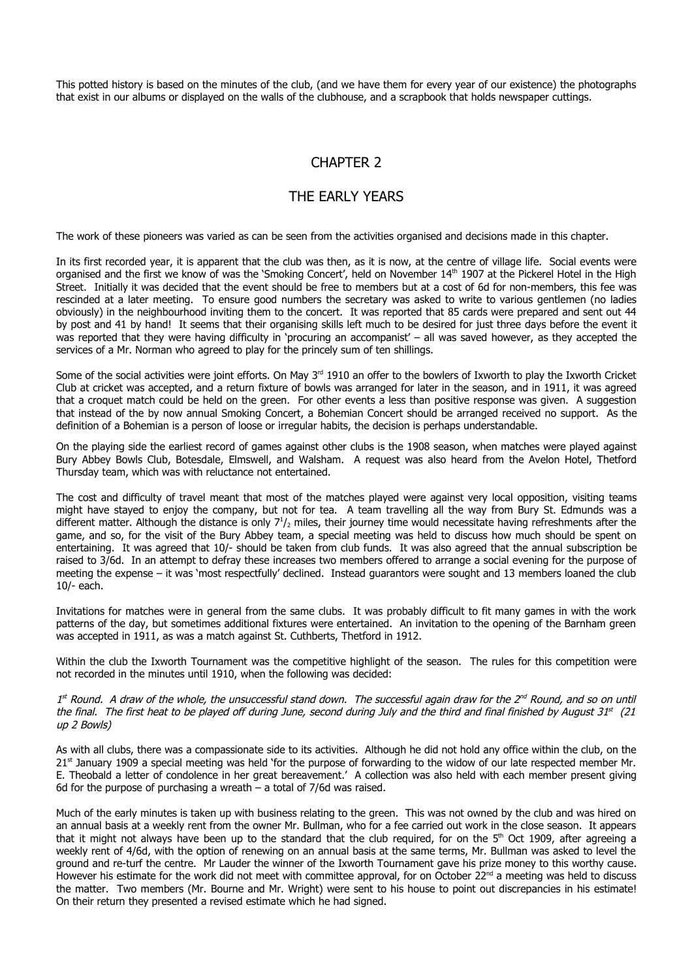This potted history is based on the minutes of the club, (and we have them for every year of our existence) the photographs that exist in our albums or displayed on the walls of the clubhouse, and a scrapbook that holds newspaper cuttings.

## CHAPTER 2

## THE EARLY YEARS

The work of these pioneers was varied as can be seen from the activities organised and decisions made in this chapter.

In its first recorded year, it is apparent that the club was then, as it is now, at the centre of village life. Social events were organised and the first we know of was the 'Smoking Concert', held on November 14<sup>th</sup> 1907 at the Pickerel Hotel in the High Street. Initially it was decided that the event should be free to members but at a cost of 6d for non-members, this fee was rescinded at a later meeting. To ensure good numbers the secretary was asked to write to various gentlemen (no ladies obviously) in the neighbourhood inviting them to the concert. It was reported that 85 cards were prepared and sent out 44 by post and 41 by hand! It seems that their organising skills left much to be desired for just three days before the event it was reported that they were having difficulty in 'procuring an accompanist' – all was saved however, as they accepted the services of a Mr. Norman who agreed to play for the princely sum of ten shillings.

Some of the social activities were joint efforts. On May 3<sup>rd</sup> 1910 an offer to the bowlers of Ixworth to play the Ixworth Cricket Club at cricket was accepted, and a return fixture of bowls was arranged for later in the season, and in 1911, it was agreed that a croquet match could be held on the green. For other events a less than positive response was given. A suggestion that instead of the by now annual Smoking Concert, a Bohemian Concert should be arranged received no support. As the definition of a Bohemian is a person of loose or irregular habits, the decision is perhaps understandable.

On the playing side the earliest record of games against other clubs is the 1908 season, when matches were played against Bury Abbey Bowls Club, Botesdale, Elmswell, and Walsham. A request was also heard from the Avelon Hotel, Thetford Thursday team, which was with reluctance not entertained.

The cost and difficulty of travel meant that most of the matches played were against very local opposition, visiting teams might have stayed to enjoy the company, but not for tea. A team travelling all the way from Bury St. Edmunds was a different matter. Although the distance is only  $7<sup>1</sup>/2$  miles, their journey time would necessitate having refreshments after the game, and so, for the visit of the Bury Abbey team, a special meeting was held to discuss how much should be spent on entertaining. It was agreed that 10/- should be taken from club funds. It was also agreed that the annual subscription be raised to 3/6d. In an attempt to defray these increases two members offered to arrange a social evening for the purpose of meeting the expense – it was 'most respectfully' declined. Instead guarantors were sought and 13 members loaned the club 10/- each.

Invitations for matches were in general from the same clubs. It was probably difficult to fit many games in with the work patterns of the day, but sometimes additional fixtures were entertained. An invitation to the opening of the Barnham green was accepted in 1911, as was a match against St. Cuthberts, Thetford in 1912.

Within the club the Ixworth Tournament was the competitive highlight of the season. The rules for this competition were not recorded in the minutes until 1910, when the following was decided:

1st Round. A draw of the whole, the unsuccessful stand down. The successful again draw for the 2<sup>nd</sup> Round, and so on until the final. The first heat to be played off during June, second during July and the third and final finished by August 31st (21 up 2 Bowls)

As with all clubs, there was a compassionate side to its activities. Although he did not hold any office within the club, on the 21<sup>st</sup> January 1909 a special meeting was held 'for the purpose of forwarding to the widow of our late respected member Mr. E. Theobald a letter of condolence in her great bereavement.' A collection was also held with each member present giving 6d for the purpose of purchasing a wreath  $-$  a total of 7/6d was raised.

Much of the early minutes is taken up with business relating to the green. This was not owned by the club and was hired on an annual basis at a weekly rent from the owner Mr. Bullman, who for a fee carried out work in the close season. It appears that it might not always have been up to the standard that the club required, for on the  $5<sup>th</sup>$  Oct 1909, after agreeing a weekly rent of 4/6d, with the option of renewing on an annual basis at the same terms, Mr. Bullman was asked to level the ground and re-turf the centre. Mr Lauder the winner of the Ixworth Tournament gave his prize money to this worthy cause. However his estimate for the work did not meet with committee approval, for on October  $22^{nd}$  a meeting was held to discuss the matter. Two members (Mr. Bourne and Mr. Wright) were sent to his house to point out discrepancies in his estimate! On their return they presented a revised estimate which he had signed.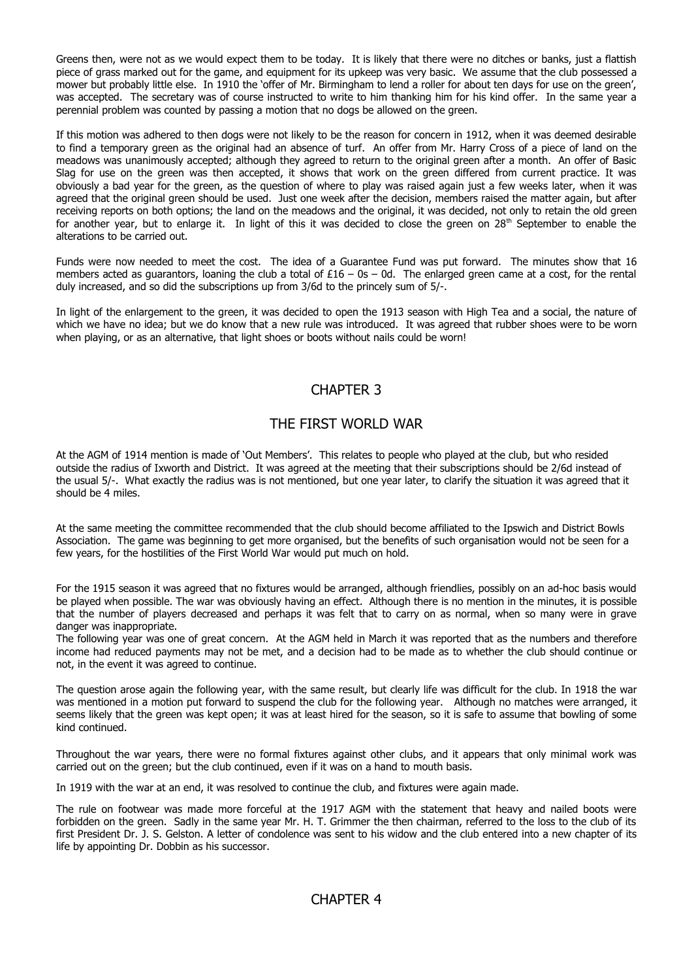Greens then, were not as we would expect them to be today. It is likely that there were no ditches or banks, just a flattish piece of grass marked out for the game, and equipment for its upkeep was very basic. We assume that the club possessed a mower but probably little else. In 1910 the 'offer of Mr. Birmingham to lend a roller for about ten days for use on the green', was accepted. The secretary was of course instructed to write to him thanking him for his kind offer. In the same year a perennial problem was counted by passing a motion that no dogs be allowed on the green.

If this motion was adhered to then dogs were not likely to be the reason for concern in 1912, when it was deemed desirable to find a temporary green as the original had an absence of turf. An offer from Mr. Harry Cross of a piece of land on the meadows was unanimously accepted; although they agreed to return to the original green after a month. An offer of Basic Slag for use on the green was then accepted, it shows that work on the green differed from current practice. It was obviously a bad year for the green, as the question of where to play was raised again just a few weeks later, when it was agreed that the original green should be used. Just one week after the decision, members raised the matter again, but after receiving reports on both options; the land on the meadows and the original, it was decided, not only to retain the old green for another year, but to enlarge it. In light of this it was decided to close the green on 28<sup>th</sup> September to enable the alterations to be carried out.

Funds were now needed to meet the cost. The idea of a Guarantee Fund was put forward. The minutes show that 16 members acted as guarantors, loaning the club a total of  $£16 - 0s - 0d$ . The enlarged green came at a cost, for the rental duly increased, and so did the subscriptions up from 3/6d to the princely sum of 5/-.

In light of the enlargement to the green, it was decided to open the 1913 season with High Tea and a social, the nature of which we have no idea; but we do know that a new rule was introduced. It was agreed that rubber shoes were to be worn when playing, or as an alternative, that light shoes or boots without nails could be worn!

# CHAPTER 3

## THE FIRST WORLD WAR

At the AGM of 1914 mention is made of 'Out Members'. This relates to people who played at the club, but who resided outside the radius of Ixworth and District. It was agreed at the meeting that their subscriptions should be 2/6d instead of the usual 5/-. What exactly the radius was is not mentioned, but one year later, to clarify the situation it was agreed that it should be 4 miles.

At the same meeting the committee recommended that the club should become affiliated to the Ipswich and District Bowls Association. The game was beginning to get more organised, but the benefits of such organisation would not be seen for a few years, for the hostilities of the First World War would put much on hold.

For the 1915 season it was agreed that no fixtures would be arranged, although friendlies, possibly on an ad-hoc basis would be played when possible. The war was obviously having an effect. Although there is no mention in the minutes, it is possible that the number of players decreased and perhaps it was felt that to carry on as normal, when so many were in grave danger was inappropriate.

The following year was one of great concern. At the AGM held in March it was reported that as the numbers and therefore income had reduced payments may not be met, and a decision had to be made as to whether the club should continue or not, in the event it was agreed to continue.

The question arose again the following year, with the same result, but clearly life was difficult for the club. In 1918 the war was mentioned in a motion put forward to suspend the club for the following year. Although no matches were arranged, it seems likely that the green was kept open; it was at least hired for the season, so it is safe to assume that bowling of some kind continued.

Throughout the war years, there were no formal fixtures against other clubs, and it appears that only minimal work was carried out on the green; but the club continued, even if it was on a hand to mouth basis.

In 1919 with the war at an end, it was resolved to continue the club, and fixtures were again made.

The rule on footwear was made more forceful at the 1917 AGM with the statement that heavy and nailed boots were forbidden on the green. Sadly in the same year Mr. H. T. Grimmer the then chairman, referred to the loss to the club of its first President Dr. J. S. Gelston. A letter of condolence was sent to his widow and the club entered into a new chapter of its life by appointing Dr. Dobbin as his successor.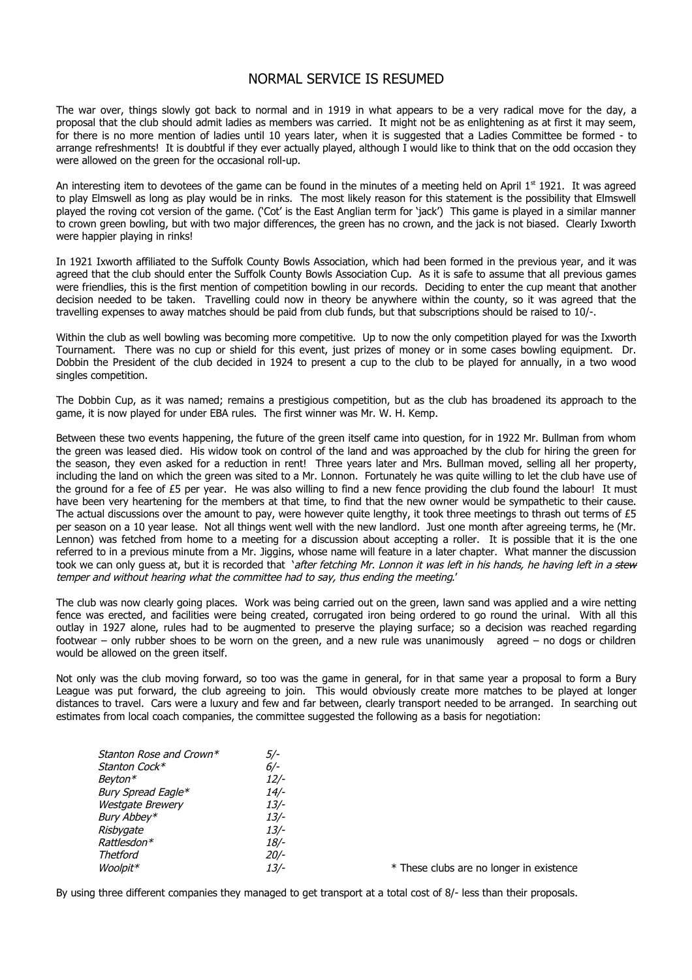### NORMAL SERVICE IS RESUMED

The war over, things slowly got back to normal and in 1919 in what appears to be a very radical move for the day, a proposal that the club should admit ladies as members was carried. It might not be as enlightening as at first it may seem, for there is no more mention of ladies until 10 years later, when it is suggested that a Ladies Committee be formed - to arrange refreshments! It is doubtful if they ever actually played, although I would like to think that on the odd occasion they were allowed on the green for the occasional roll-up.

An interesting item to devotees of the game can be found in the minutes of a meeting held on April  $1<sup>st</sup>$  1921. It was agreed to play Elmswell as long as play would be in rinks. The most likely reason for this statement is the possibility that Elmswell played the roving cot version of the game. ('Cot' is the East Anglian term for 'jack') This game is played in a similar manner to crown green bowling, but with two major differences, the green has no crown, and the jack is not biased. Clearly Ixworth were happier playing in rinks!

In 1921 Ixworth affiliated to the Suffolk County Bowls Association, which had been formed in the previous year, and it was agreed that the club should enter the Suffolk County Bowls Association Cup. As it is safe to assume that all previous games were friendlies, this is the first mention of competition bowling in our records. Deciding to enter the cup meant that another decision needed to be taken. Travelling could now in theory be anywhere within the county, so it was agreed that the travelling expenses to away matches should be paid from club funds, but that subscriptions should be raised to 10/-.

Within the club as well bowling was becoming more competitive. Up to now the only competition played for was the Ixworth Tournament. There was no cup or shield for this event, just prizes of money or in some cases bowling equipment. Dr. Dobbin the President of the club decided in 1924 to present a cup to the club to be played for annually, in a two wood singles competition.

The Dobbin Cup, as it was named; remains a prestigious competition, but as the club has broadened its approach to the game, it is now played for under EBA rules. The first winner was Mr. W. H. Kemp.

Between these two events happening, the future of the green itself came into question, for in 1922 Mr. Bullman from whom the green was leased died. His widow took on control of the land and was approached by the club for hiring the green for the season, they even asked for a reduction in rent! Three years later and Mrs. Bullman moved, selling all her property, including the land on which the green was sited to a Mr. Lonnon. Fortunately he was quite willing to let the club have use of the ground for a fee of £5 per year. He was also willing to find a new fence providing the club found the labour! It must have been very heartening for the members at that time, to find that the new owner would be sympathetic to their cause. The actual discussions over the amount to pay, were however quite lengthy, it took three meetings to thrash out terms of £5 per season on a 10 year lease. Not all things went well with the new landlord. Just one month after agreeing terms, he (Mr. Lennon) was fetched from home to a meeting for a discussion about accepting a roller. It is possible that it is the one referred to in a previous minute from a Mr. Jiggins, whose name will feature in a later chapter. What manner the discussion took we can only quess at, but it is recorded that 'after fetching Mr. Lonnon it was left in his hands, he having left in a stew temper and without hearing what the committee had to say, thus ending the meeting.'

The club was now clearly going places. Work was being carried out on the green, lawn sand was applied and a wire netting fence was erected, and facilities were being created, corrugated iron being ordered to go round the urinal. With all this outlay in 1927 alone, rules had to be augmented to preserve the playing surface; so a decision was reached regarding footwear – only rubber shoes to be worn on the green, and a new rule was unanimously agreed – no dogs or children would be allowed on the green itself.

Not only was the club moving forward, so too was the game in general, for in that same year a proposal to form a Bury League was put forward, the club agreeing to join. This would obviously create more matches to be played at longer distances to travel. Cars were a luxury and few and far between, clearly transport needed to be arranged. In searching out estimates from local coach companies, the committee suggested the following as a basis for negotiation:

| Stanton Rose and Crown*<br>5/- |     |
|--------------------------------|-----|
| Stanton Cock*                  | 6/- |
| Bevton*                        | 12/ |
| Bury Spread Eagle*             | 14/ |
| <b>Westgate Brewery</b>        | 13/ |
| Bury Abbey*                    | 13/ |
| Risbygate                      | 13/ |
| Rattlesdon*                    | 18/ |
| <b>Thetford</b>                | 20/ |
| Woolpit*                       | 13/ |

 $\frac{1}{2}$   $\frac{1}{2}$  These clubs are no longer in existence

By using three different companies they managed to get transport at a total cost of 8/- less than their proposals.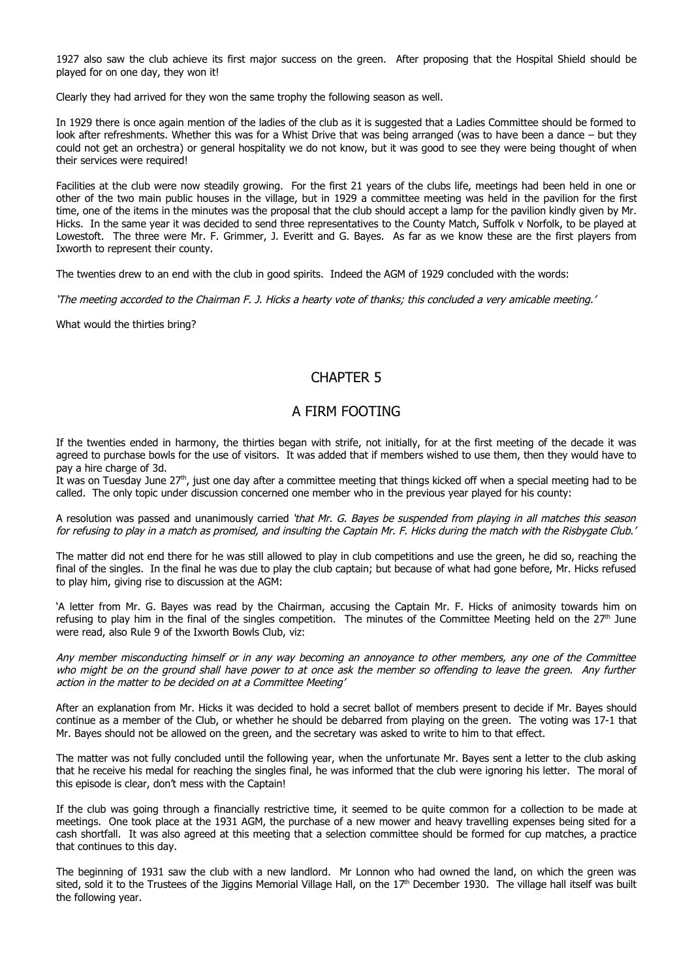1927 also saw the club achieve its first major success on the green. After proposing that the Hospital Shield should be played for on one day, they won it!

Clearly they had arrived for they won the same trophy the following season as well.

In 1929 there is once again mention of the ladies of the club as it is suggested that a Ladies Committee should be formed to look after refreshments. Whether this was for a Whist Drive that was being arranged (was to have been a dance – but they could not get an orchestra) or general hospitality we do not know, but it was good to see they were being thought of when their services were required!

Facilities at the club were now steadily growing. For the first 21 years of the clubs life, meetings had been held in one or other of the two main public houses in the village, but in 1929 a committee meeting was held in the pavilion for the first time, one of the items in the minutes was the proposal that the club should accept a lamp for the pavilion kindly given by Mr. Hicks. In the same year it was decided to send three representatives to the County Match, Suffolk v Norfolk, to be played at Lowestoft. The three were Mr. F. Grimmer, J. Everitt and G. Bayes. As far as we know these are the first players from Ixworth to represent their county.

The twenties drew to an end with the club in good spirits. Indeed the AGM of 1929 concluded with the words:

'The meeting accorded to the Chairman F. J. Hicks a hearty vote of thanks; this concluded a very amicable meeting.'

What would the thirties bring?

## CHAPTER 5

#### A FIRM FOOTING

If the twenties ended in harmony, the thirties began with strife, not initially, for at the first meeting of the decade it was agreed to purchase bowls for the use of visitors. It was added that if members wished to use them, then they would have to pay a hire charge of 3d.

It was on Tuesday June  $27<sup>th</sup>$ , just one day after a committee meeting that things kicked off when a special meeting had to be called. The only topic under discussion concerned one member who in the previous year played for his county:

A resolution was passed and unanimously carried 'that Mr. G. Bayes be suspended from playing in all matches this season for refusing to play in a match as promised, and insulting the Captain Mr. F. Hicks during the match with the Risbygate Club.'

The matter did not end there for he was still allowed to play in club competitions and use the green, he did so, reaching the final of the singles. In the final he was due to play the club captain; but because of what had gone before, Mr. Hicks refused to play him, giving rise to discussion at the AGM:

'A letter from Mr. G. Bayes was read by the Chairman, accusing the Captain Mr. F. Hicks of animosity towards him on refusing to play him in the final of the singles competition. The minutes of the Committee Meeting held on the  $27<sup>th</sup>$  June were read, also Rule 9 of the Ixworth Bowls Club, viz:

Any member misconducting himself or in any way becoming an annoyance to other members, any one of the Committee who might be on the ground shall have power to at once ask the member so offending to leave the green. Any further action in the matter to be decided on at a Committee Meeting'

After an explanation from Mr. Hicks it was decided to hold a secret ballot of members present to decide if Mr. Bayes should continue as a member of the Club, or whether he should be debarred from playing on the green. The voting was 17-1 that Mr. Bayes should not be allowed on the green, and the secretary was asked to write to him to that effect.

The matter was not fully concluded until the following year, when the unfortunate Mr. Bayes sent a letter to the club asking that he receive his medal for reaching the singles final, he was informed that the club were ignoring his letter. The moral of this episode is clear, don't mess with the Captain!

If the club was going through a financially restrictive time, it seemed to be quite common for a collection to be made at meetings. One took place at the 1931 AGM, the purchase of a new mower and heavy travelling expenses being sited for a cash shortfall. It was also agreed at this meeting that a selection committee should be formed for cup matches, a practice that continues to this day.

The beginning of 1931 saw the club with a new landlord. Mr Lonnon who had owned the land, on which the green was sited, sold it to the Trustees of the Jiggins Memorial Village Hall, on the  $17<sup>th</sup>$  December 1930. The village hall itself was built the following year.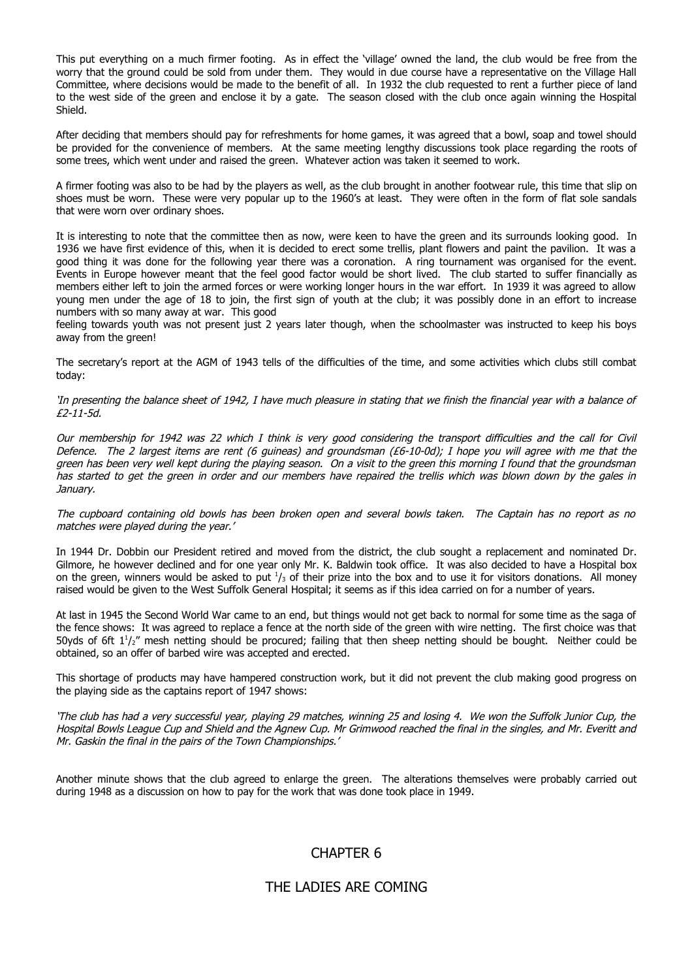This put everything on a much firmer footing. As in effect the 'village' owned the land, the club would be free from the worry that the ground could be sold from under them. They would in due course have a representative on the Village Hall Committee, where decisions would be made to the benefit of all. In 1932 the club requested to rent a further piece of land to the west side of the green and enclose it by a gate. The season closed with the club once again winning the Hospital Shield.

After deciding that members should pay for refreshments for home games, it was agreed that a bowl, soap and towel should be provided for the convenience of members. At the same meeting lengthy discussions took place regarding the roots of some trees, which went under and raised the green. Whatever action was taken it seemed to work.

A firmer footing was also to be had by the players as well, as the club brought in another footwear rule, this time that slip on shoes must be worn. These were very popular up to the 1960's at least. They were often in the form of flat sole sandals that were worn over ordinary shoes.

It is interesting to note that the committee then as now, were keen to have the green and its surrounds looking good. In 1936 we have first evidence of this, when it is decided to erect some trellis, plant flowers and paint the pavilion. It was a good thing it was done for the following year there was a coronation. A ring tournament was organised for the event. Events in Europe however meant that the feel good factor would be short lived. The club started to suffer financially as members either left to join the armed forces or were working longer hours in the war effort. In 1939 it was agreed to allow young men under the age of 18 to join, the first sign of youth at the club; it was possibly done in an effort to increase numbers with so many away at war. This good

feeling towards youth was not present just 2 years later though, when the schoolmaster was instructed to keep his boys away from the green!

The secretary's report at the AGM of 1943 tells of the difficulties of the time, and some activities which clubs still combat today:

#### 'In presenting the balance sheet of 1942, I have much pleasure in stating that we finish the financial year with a balance of £2-11-5d.

Our membership for 1942 was 22 which I think is very good considering the transport difficulties and the call for Civil Defence. The 2 largest items are rent (6 guineas) and groundsman (£6-10-0d); I hope you will agree with me that the green has been very well kept during the playing season. On a visit to the green this morning I found that the groundsman has started to get the green in order and our members have repaired the trellis which was blown down by the gales in January.

The cupboard containing old bowls has been broken open and several bowls taken. The Captain has no report as no matches were played during the year.'

In 1944 Dr. Dobbin our President retired and moved from the district, the club sought a replacement and nominated Dr. Gilmore, he however declined and for one year only Mr. K. Baldwin took office. It was also decided to have a Hospital box on the green, winners would be asked to put  $1/3$  of their prize into the box and to use it for visitors donations. All money raised would be given to the West Suffolk General Hospital; it seems as if this idea carried on for a number of years.

At last in 1945 the Second World War came to an end, but things would not get back to normal for some time as the saga of the fence shows: It was agreed to replace a fence at the north side of the green with wire netting. The first choice was that 50yds of 6ft  $1<sup>1</sup>/<sub>2</sub>$ " mesh netting should be procured; failing that then sheep netting should be bought. Neither could be obtained, so an offer of barbed wire was accepted and erected.

This shortage of products may have hampered construction work, but it did not prevent the club making good progress on the playing side as the captains report of 1947 shows:

'The club has had a very successful year, playing 29 matches, winning 25 and losing 4. We won the Suffolk Junior Cup, the Hospital Bowls League Cup and Shield and the Agnew Cup. Mr Grimwood reached the final in the singles, and Mr. Everitt and Mr. Gaskin the final in the pairs of the Town Championships.'

Another minute shows that the club agreed to enlarge the green. The alterations themselves were probably carried out during 1948 as a discussion on how to pay for the work that was done took place in 1949.

## CHAPTER 6

## THE LADIES ARE COMING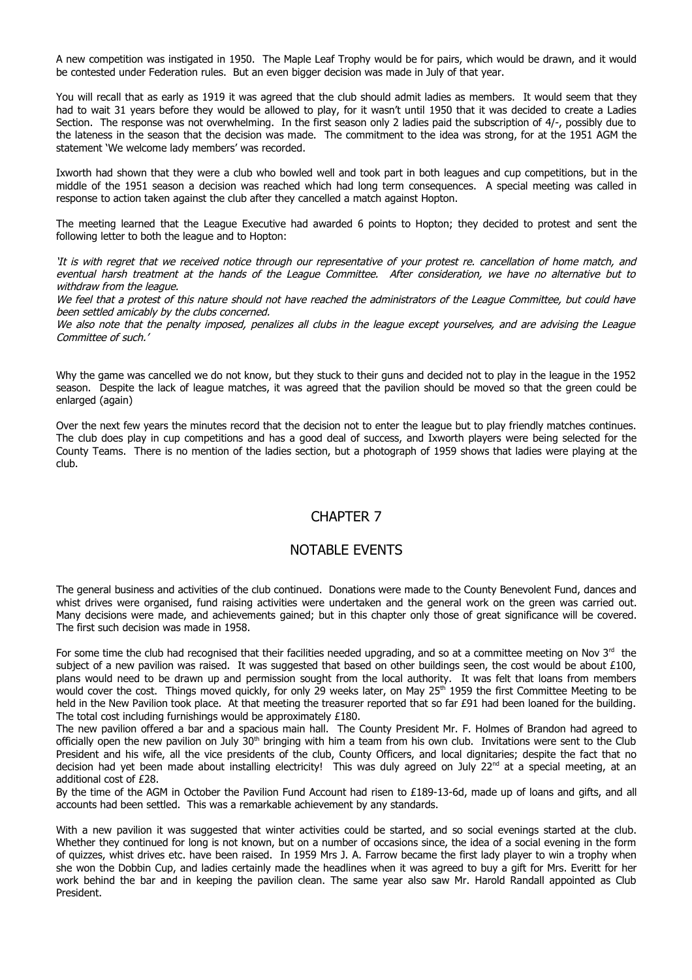A new competition was instigated in 1950. The Maple Leaf Trophy would be for pairs, which would be drawn, and it would be contested under Federation rules. But an even bigger decision was made in July of that year.

You will recall that as early as 1919 it was agreed that the club should admit ladies as members. It would seem that they had to wait 31 years before they would be allowed to play, for it wasn't until 1950 that it was decided to create a Ladies Section. The response was not overwhelming. In the first season only 2 ladies paid the subscription of 4/-, possibly due to the lateness in the season that the decision was made. The commitment to the idea was strong, for at the 1951 AGM the statement 'We welcome lady members' was recorded.

Ixworth had shown that they were a club who bowled well and took part in both leagues and cup competitions, but in the middle of the 1951 season a decision was reached which had long term consequences. A special meeting was called in response to action taken against the club after they cancelled a match against Hopton.

The meeting learned that the League Executive had awarded 6 points to Hopton; they decided to protest and sent the following letter to both the league and to Hopton:

'It is with regret that we received notice through our representative of your protest re. cancellation of home match, and eventual harsh treatment at the hands of the League Committee. After consideration, we have no alternative but to withdraw from the league.

We feel that a protest of this nature should not have reached the administrators of the League Committee, but could have been settled amicably by the clubs concerned.

We also note that the penalty imposed, penalizes all clubs in the league except yourselves, and are advising the League Committee of such.'

Why the game was cancelled we do not know, but they stuck to their guns and decided not to play in the league in the 1952 season. Despite the lack of league matches, it was agreed that the pavilion should be moved so that the green could be enlarged (again)

Over the next few years the minutes record that the decision not to enter the league but to play friendly matches continues. The club does play in cup competitions and has a good deal of success, and Ixworth players were being selected for the County Teams. There is no mention of the ladies section, but a photograph of 1959 shows that ladies were playing at the club.

## CHAPTER 7

#### NOTABLE EVENTS

The general business and activities of the club continued. Donations were made to the County Benevolent Fund, dances and whist drives were organised, fund raising activities were undertaken and the general work on the green was carried out. Many decisions were made, and achievements gained; but in this chapter only those of great significance will be covered. The first such decision was made in 1958.

For some time the club had recognised that their facilities needed upgrading, and so at a committee meeting on Nov  $3^{rd}$  the subject of a new pavilion was raised. It was suggested that based on other buildings seen, the cost would be about £100, plans would need to be drawn up and permission sought from the local authority. It was felt that loans from members would cover the cost. Things moved quickly, for only 29 weeks later, on May 25<sup>th</sup> 1959 the first Committee Meeting to be held in the New Pavilion took place. At that meeting the treasurer reported that so far £91 had been loaned for the building. The total cost including furnishings would be approximately £180.

The new pavilion offered a bar and a spacious main hall. The County President Mr. F. Holmes of Brandon had agreed to officially open the new pavilion on July  $30<sup>th</sup>$  bringing with him a team from his own club. Invitations were sent to the Club President and his wife, all the vice presidents of the club, County Officers, and local dignitaries; despite the fact that no decision had yet been made about installing electricity! This was duly agreed on July 22<sup>nd</sup> at a special meeting, at an additional cost of £28.

By the time of the AGM in October the Pavilion Fund Account had risen to £189-13-6d, made up of loans and gifts, and all accounts had been settled. This was a remarkable achievement by any standards.

With a new pavilion it was suggested that winter activities could be started, and so social evenings started at the club. Whether they continued for long is not known, but on a number of occasions since, the idea of a social evening in the form of quizzes, whist drives etc. have been raised. In 1959 Mrs J. A. Farrow became the first lady player to win a trophy when she won the Dobbin Cup, and ladies certainly made the headlines when it was agreed to buy a gift for Mrs. Everitt for her work behind the bar and in keeping the pavilion clean. The same year also saw Mr. Harold Randall appointed as Club President.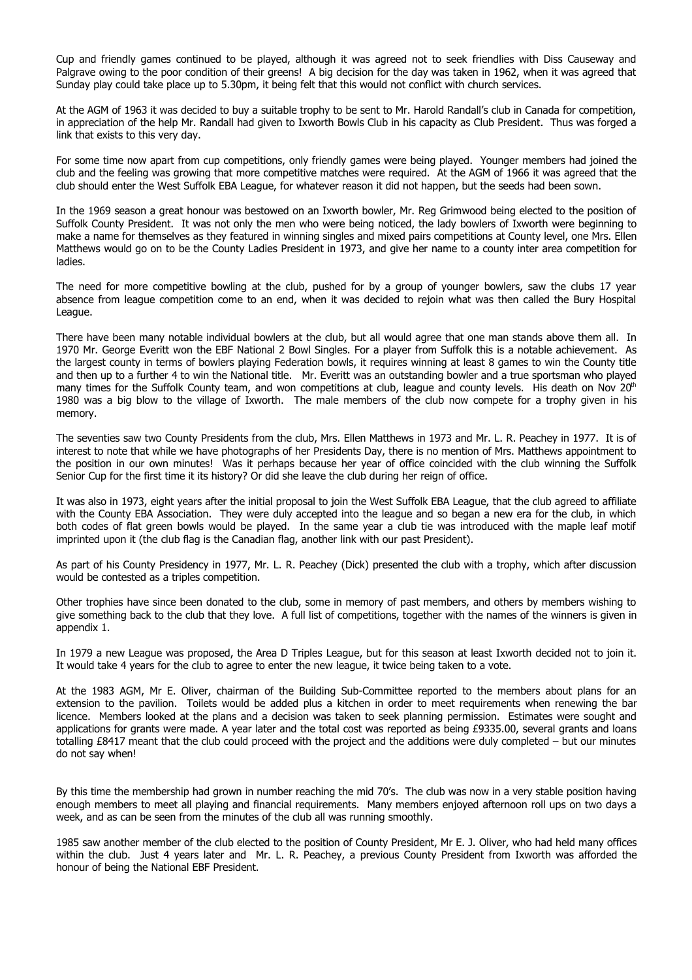Cup and friendly games continued to be played, although it was agreed not to seek friendlies with Diss Causeway and Palgrave owing to the poor condition of their greens! A big decision for the day was taken in 1962, when it was agreed that Sunday play could take place up to 5.30pm, it being felt that this would not conflict with church services.

At the AGM of 1963 it was decided to buy a suitable trophy to be sent to Mr. Harold Randall's club in Canada for competition, in appreciation of the help Mr. Randall had given to Ixworth Bowls Club in his capacity as Club President. Thus was forged a link that exists to this very day.

For some time now apart from cup competitions, only friendly games were being played. Younger members had joined the club and the feeling was growing that more competitive matches were required. At the AGM of 1966 it was agreed that the club should enter the West Suffolk EBA League, for whatever reason it did not happen, but the seeds had been sown.

In the 1969 season a great honour was bestowed on an Ixworth bowler, Mr. Reg Grimwood being elected to the position of Suffolk County President. It was not only the men who were being noticed, the lady bowlers of Ixworth were beginning to make a name for themselves as they featured in winning singles and mixed pairs competitions at County level, one Mrs. Ellen Matthews would go on to be the County Ladies President in 1973, and give her name to a county inter area competition for ladies.

The need for more competitive bowling at the club, pushed for by a group of younger bowlers, saw the clubs 17 year absence from league competition come to an end, when it was decided to rejoin what was then called the Bury Hospital League.

There have been many notable individual bowlers at the club, but all would agree that one man stands above them all. In 1970 Mr. George Everitt won the EBF National 2 Bowl Singles. For a player from Suffolk this is a notable achievement. As the largest county in terms of bowlers playing Federation bowls, it requires winning at least 8 games to win the County title and then up to a further 4 to win the National title. Mr. Everitt was an outstanding bowler and a true sportsman who played many times for the Suffolk County team, and won competitions at club, league and county levels. His death on Nov  $20<sup>th</sup>$ 1980 was a big blow to the village of Ixworth. The male members of the club now compete for a trophy given in his memory.

The seventies saw two County Presidents from the club, Mrs. Ellen Matthews in 1973 and Mr. L. R. Peachey in 1977. It is of interest to note that while we have photographs of her Presidents Day, there is no mention of Mrs. Matthews appointment to the position in our own minutes! Was it perhaps because her year of office coincided with the club winning the Suffolk Senior Cup for the first time it its history? Or did she leave the club during her reign of office.

It was also in 1973, eight years after the initial proposal to join the West Suffolk EBA League, that the club agreed to affiliate with the County EBA Association. They were duly accepted into the league and so began a new era for the club, in which both codes of flat green bowls would be played. In the same year a club tie was introduced with the maple leaf motif imprinted upon it (the club flag is the Canadian flag, another link with our past President).

As part of his County Presidency in 1977, Mr. L. R. Peachey (Dick) presented the club with a trophy, which after discussion would be contested as a triples competition.

Other trophies have since been donated to the club, some in memory of past members, and others by members wishing to give something back to the club that they love. A full list of competitions, together with the names of the winners is given in appendix 1.

In 1979 a new League was proposed, the Area D Triples League, but for this season at least Ixworth decided not to join it. It would take 4 years for the club to agree to enter the new league, it twice being taken to a vote.

At the 1983 AGM, Mr E. Oliver, chairman of the Building Sub-Committee reported to the members about plans for an extension to the pavilion. Toilets would be added plus a kitchen in order to meet requirements when renewing the bar licence. Members looked at the plans and a decision was taken to seek planning permission. Estimates were sought and applications for grants were made. A year later and the total cost was reported as being £9335.00, several grants and loans totalling £8417 meant that the club could proceed with the project and the additions were duly completed – but our minutes do not say when!

By this time the membership had grown in number reaching the mid 70's. The club was now in a very stable position having enough members to meet all playing and financial requirements. Many members enjoyed afternoon roll ups on two days a week, and as can be seen from the minutes of the club all was running smoothly.

1985 saw another member of the club elected to the position of County President, Mr E. J. Oliver, who had held many offices within the club. Just 4 years later and Mr. L. R. Peachey, a previous County President from Ixworth was afforded the honour of being the National EBF President.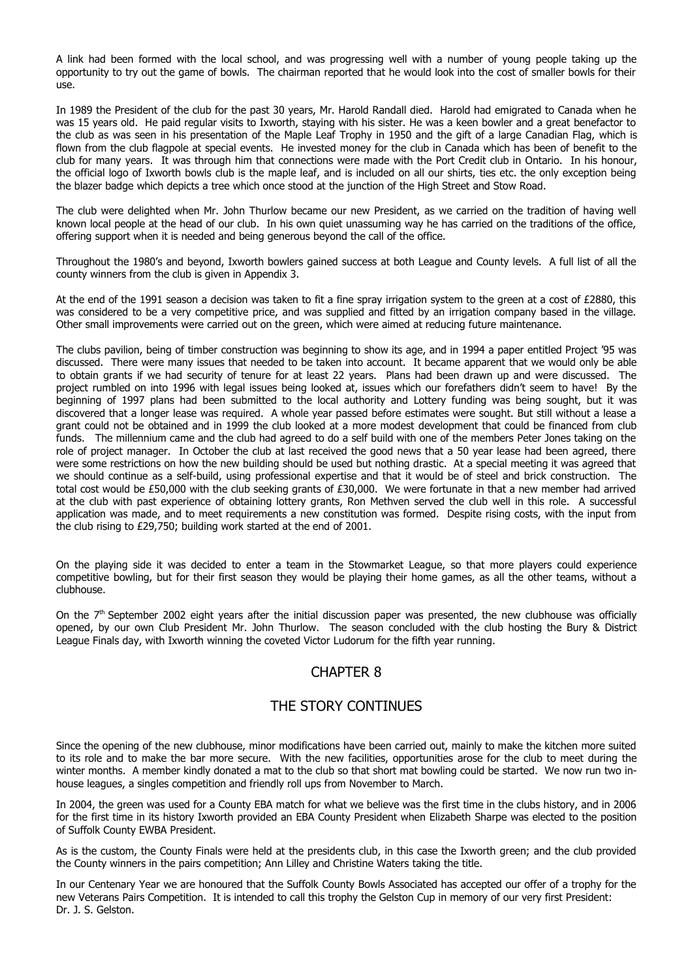A link had been formed with the local school, and was progressing well with a number of young people taking up the opportunity to try out the game of bowls. The chairman reported that he would look into the cost of smaller bowls for their use.

In 1989 the President of the club for the past 30 years, Mr. Harold Randall died. Harold had emigrated to Canada when he was 15 years old. He paid regular visits to Ixworth, staying with his sister. He was a keen bowler and a great benefactor to the club as was seen in his presentation of the Maple Leaf Trophy in 1950 and the gift of a large Canadian Flag, which is flown from the club flagpole at special events. He invested money for the club in Canada which has been of benefit to the club for many years. It was through him that connections were made with the Port Credit club in Ontario. In his honour, the official logo of Ixworth bowls club is the maple leaf, and is included on all our shirts, ties etc. the only exception being the blazer badge which depicts a tree which once stood at the junction of the High Street and Stow Road.

The club were delighted when Mr. John Thurlow became our new President, as we carried on the tradition of having well known local people at the head of our club. In his own quiet unassuming way he has carried on the traditions of the office, offering support when it is needed and being generous beyond the call of the office.

Throughout the 1980's and beyond, Ixworth bowlers gained success at both League and County levels. A full list of all the county winners from the club is given in Appendix 3.

At the end of the 1991 season a decision was taken to fit a fine spray irrigation system to the green at a cost of £2880, this was considered to be a very competitive price, and was supplied and fitted by an irrigation company based in the village. Other small improvements were carried out on the green, which were aimed at reducing future maintenance.

The clubs pavilion, being of timber construction was beginning to show its age, and in 1994 a paper entitled Project '95 was discussed. There were many issues that needed to be taken into account. It became apparent that we would only be able to obtain grants if we had security of tenure for at least 22 years. Plans had been drawn up and were discussed. The project rumbled on into 1996 with legal issues being looked at, issues which our forefathers didn't seem to have! By the beginning of 1997 plans had been submitted to the local authority and Lottery funding was being sought, but it was discovered that a longer lease was required. A whole year passed before estimates were sought. But still without a lease a grant could not be obtained and in 1999 the club looked at a more modest development that could be financed from club funds. The millennium came and the club had agreed to do a self build with one of the members Peter Jones taking on the role of project manager. In October the club at last received the good news that a 50 year lease had been agreed, there were some restrictions on how the new building should be used but nothing drastic. At a special meeting it was agreed that we should continue as a self-build, using professional expertise and that it would be of steel and brick construction. The total cost would be £50,000 with the club seeking grants of £30,000. We were fortunate in that a new member had arrived at the club with past experience of obtaining lottery grants, Ron Methven served the club well in this role. A successful application was made, and to meet requirements a new constitution was formed. Despite rising costs, with the input from the club rising to £29,750; building work started at the end of 2001.

On the playing side it was decided to enter a team in the Stowmarket League, so that more players could experience competitive bowling, but for their first season they would be playing their home games, as all the other teams, without a clubhouse.

On the  $7<sup>th</sup>$  September 2002 eight years after the initial discussion paper was presented, the new clubhouse was officially opened, by our own Club President Mr. John Thurlow. The season concluded with the club hosting the Bury & District League Finals day, with Ixworth winning the coveted Victor Ludorum for the fifth year running.

## CHAPTER 8

#### THE STORY CONTINUES

Since the opening of the new clubhouse, minor modifications have been carried out, mainly to make the kitchen more suited to its role and to make the bar more secure. With the new facilities, opportunities arose for the club to meet during the winter months. A member kindly donated a mat to the club so that short mat bowling could be started. We now run two inhouse leagues, a singles competition and friendly roll ups from November to March.

In 2004, the green was used for a County EBA match for what we believe was the first time in the clubs history, and in 2006 for the first time in its history Ixworth provided an EBA County President when Elizabeth Sharpe was elected to the position of Suffolk County EWBA President.

As is the custom, the County Finals were held at the presidents club, in this case the Ixworth green; and the club provided the County winners in the pairs competition; Ann Lilley and Christine Waters taking the title.

In our Centenary Year we are honoured that the Suffolk County Bowls Associated has accepted our offer of a trophy for the new Veterans Pairs Competition. It is intended to call this trophy the Gelston Cup in memory of our very first President: Dr. J. S. Gelston.